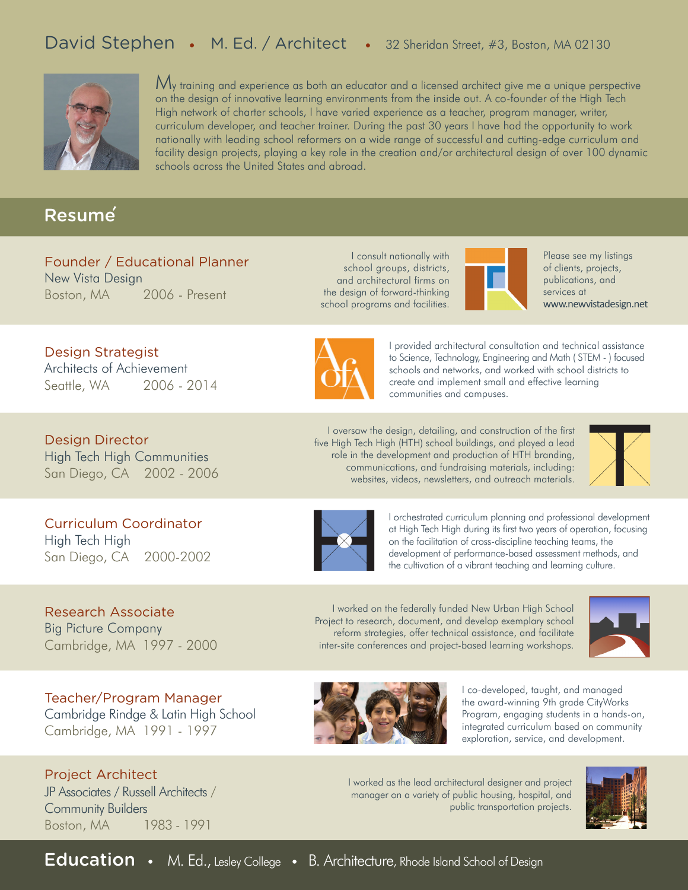## David Stephen • M. Ed. / Architect • 32 Sheridan Street, #3, Boston, MA 02130



 $\mathcal{M}_\mathcal{V}$  training and experience as both an educator and a licensed architect give me a unique perspective on the design of innovative learning environments from the inside out. A co-founder of the High Tech High network of charter schools, I have varied experience as a teacher, program manager, writer, curriculum developer, and teacher trainer. During the past 30 years I have had the opportunity to work nationally with leading school reformers on a wide range of successful and cutting-edge curriculum and facility design projects, playing a key role in the creation and/or architectural design of over 100 dynamic schools across the United States and abroad.

### Resume

Design Strategist

Design Director

High Tech High

Architects of Achievement Seattle, WA 2006 - 2014

High Tech High Communities San Diego, CA 2002 - 2006

Curriculum Coordinator

San Diego, CA 2000-2002

#### Founder / Educational Planner New Vista Design Boston, MA 2006 - Present

I consult nationally with school groups, districts, and architectural firms on the design of forward-thinking school programs and facilities.



Please see my listings of clients, projects, publications, and services at www.newvistadesign.net



I provided architectural consultation and technical assistance to Science, Technology, Engineering and Math ( STEM - ) focused schools and networks, and worked with school districts to create and implement small and effective learning communities and campuses.

I oversaw the design, detailing, and construction of the first five High Tech High (HTH) school buildings, and played a lead role in the development and production of HTH branding, communications, and fundraising materials, including: websites, videos, newsletters, and outreach materials.

I worked on the federally funded New Urban High School Project to research, document, and develop exemplary school reform strategies, offer technical assistance, and facilitate inter-site conferences and project-based learning workshops.





I orchestrated curriculum planning and professional development at High Tech High during its first two years of operation, focusing on the facilitation of cross-discipline teaching teams, the development of performance-based assessment methods, and the cultivation of a vibrant teaching and learning culture.

Research Associate Big Picture Company Cambridge, MA 1997 - 2000

Teacher/Program Manager Cambridge Rindge & Latin High School Cambridge, MA 1991 - 1997

Project Architect JP Associates / Russell Architects / Community Builders Boston, MA 1983 - 1991



I co-developed, taught, and managed the award-winning 9th grade CityWorks Program, engaging students in a hands-on, integrated curriculum based on community exploration, service, and development.

I worked as the lead architectural designer and project manager on a variety of public housing, hospital, and public transportation projects.



Education • M. Ed., Lesley College • B. Architecture, Rhode Island School of Design